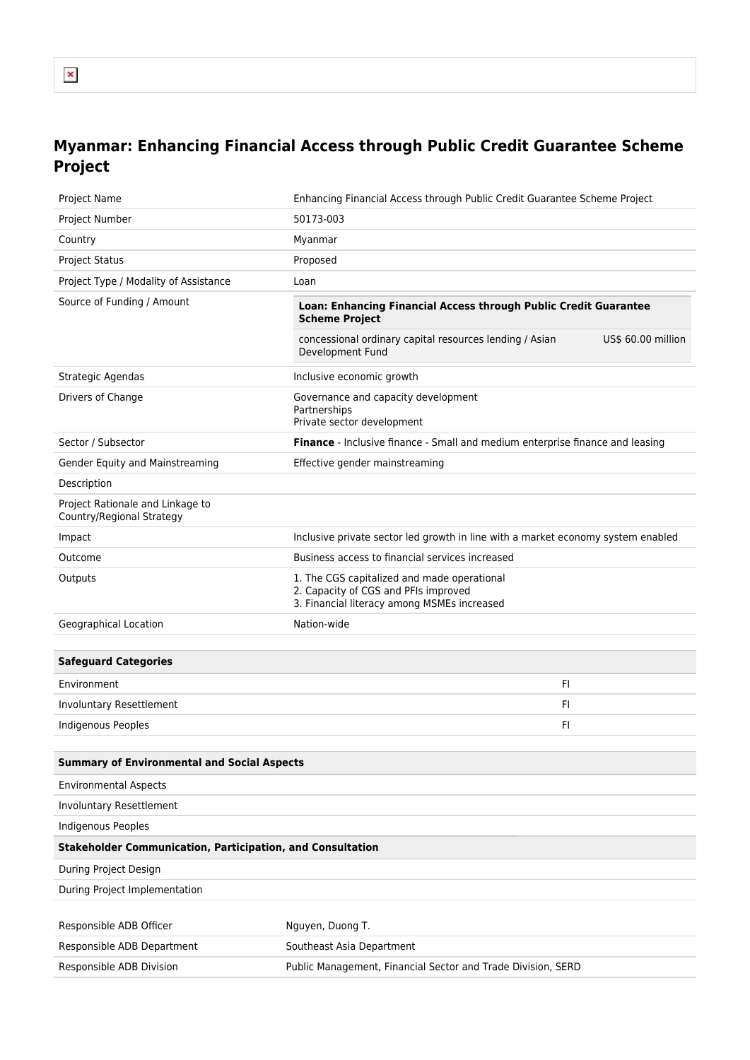## **Myanmar: Enhancing Financial Access through Public Credit Guarantee Scheme Project**

| Project Name                                                      | Enhancing Financial Access through Public Credit Guarantee Scheme Project                                                                                                                      |  |
|-------------------------------------------------------------------|------------------------------------------------------------------------------------------------------------------------------------------------------------------------------------------------|--|
| Project Number                                                    | 50173-003                                                                                                                                                                                      |  |
| Country                                                           | Myanmar                                                                                                                                                                                        |  |
| <b>Project Status</b>                                             | Proposed                                                                                                                                                                                       |  |
| Project Type / Modality of Assistance                             | Loan                                                                                                                                                                                           |  |
| Source of Funding / Amount                                        | Loan: Enhancing Financial Access through Public Credit Guarantee<br><b>Scheme Project</b><br>concessional ordinary capital resources lending / Asian<br>US\$ 60.00 million<br>Development Fund |  |
| Strategic Agendas                                                 | Inclusive economic growth                                                                                                                                                                      |  |
| Drivers of Change                                                 | Governance and capacity development<br>Partnerships<br>Private sector development                                                                                                              |  |
| Sector / Subsector                                                | Finance - Inclusive finance - Small and medium enterprise finance and leasing                                                                                                                  |  |
| Gender Equity and Mainstreaming                                   | Effective gender mainstreaming                                                                                                                                                                 |  |
| Description                                                       |                                                                                                                                                                                                |  |
| Project Rationale and Linkage to<br>Country/Regional Strategy     |                                                                                                                                                                                                |  |
| Impact                                                            | Inclusive private sector led growth in line with a market economy system enabled                                                                                                               |  |
| Outcome                                                           | Business access to financial services increased                                                                                                                                                |  |
| Outputs                                                           | 1. The CGS capitalized and made operational<br>2. Capacity of CGS and PFIs improved<br>3. Financial literacy among MSMEs increased                                                             |  |
| Geographical Location                                             | Nation-wide                                                                                                                                                                                    |  |
| <b>Safeguard Categories</b>                                       |                                                                                                                                                                                                |  |
| Environment                                                       | FI.                                                                                                                                                                                            |  |
| Involuntary Resettlement                                          | FI.                                                                                                                                                                                            |  |
| <b>Indigenous Peoples</b>                                         | FI.                                                                                                                                                                                            |  |
| <b>Summary of Environmental and Social Aspects</b>                |                                                                                                                                                                                                |  |
| <b>Environmental Aspects</b>                                      |                                                                                                                                                                                                |  |
| Involuntary Resettlement                                          |                                                                                                                                                                                                |  |
| Indigenous Peoples                                                |                                                                                                                                                                                                |  |
| <b>Stakeholder Communication, Participation, and Consultation</b> |                                                                                                                                                                                                |  |
| During Project Design                                             |                                                                                                                                                                                                |  |
| During Project Implementation                                     |                                                                                                                                                                                                |  |
| Responsible ADB Officer                                           | Nguyen, Duong T.                                                                                                                                                                               |  |
| Responsible ADB Department                                        | Southeast Asia Department                                                                                                                                                                      |  |
| Responsible ADB Division                                          | Public Management, Financial Sector and Trade Division, SERD                                                                                                                                   |  |
|                                                                   |                                                                                                                                                                                                |  |